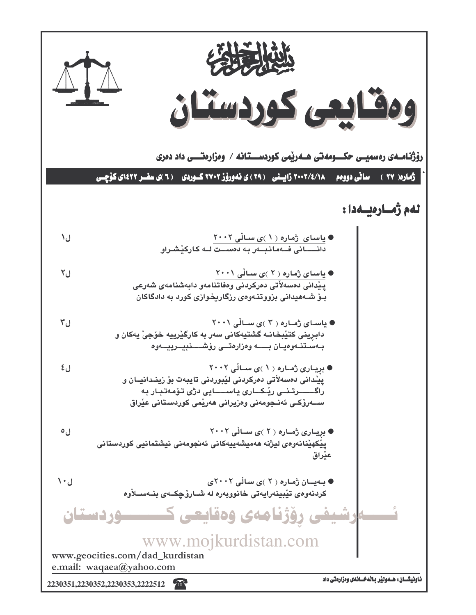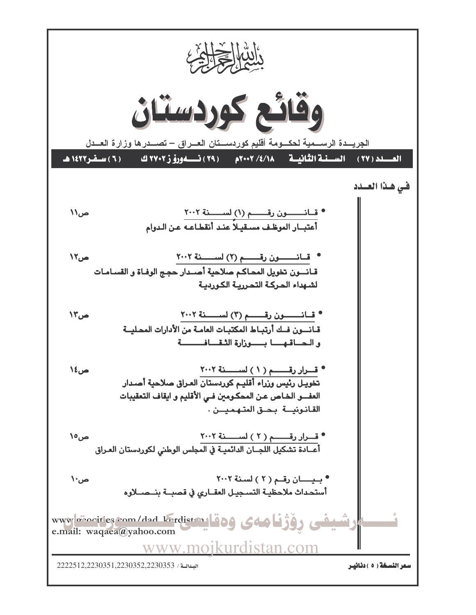I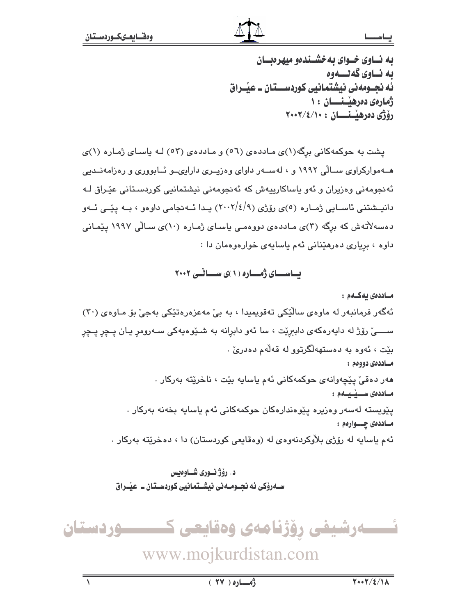#### يحاسط

به نساوی خسوای به خشسندهو میهرهنسان ىه نــاوى گەنــــەوە ئه نجــومەنى نيشتمانيى كوردســـتان ــ عيْــراق ژمارەى دەرھيىنسسان ١٠ رۆژى دەرھنىنسسان : ٢٠٠٢/٤/١٠٠

یشت به حوکمهکانی برگه(۱)ی ماددهی (٥٦) و ماددهی (٥٣) لـه یاسای ژماره (۱)ی هــهموارکراوی ســالّی ۱۹۹۲ و ، لهســهر داوای وهزیــری دارایـیــو ئــابووری و رهزامهنــدیی ئەنجومەنى وەزيران و ئەو ياساكارييەش كە ئەنجومەنى نيشتمانيى كوردسىتانى عێراق لـە دانیسشتنی ئاسایی ژماره (٥)ی رۆژی (٢٠٠٢/٤/٩) یـدا ئــه نجامی داوهو ، بــه ییّــی ئــهو دهسهلاتهش که برگه (۳)ی ماددهی دووهمی باسای ژماره (۱۰)ی سالی ۱۹۹۷ بیمانی داوه ، برياري دهرهێناني ئهم ياسايهي خوارهوهمان دا :

یاسای ژماره (۱)ی سانی ۲۰۰۲

مـاددەى ئەكــەم :

ئەگەر فرمانبەر لە ماوەي سالْٽِكى تەقويمىدا ، بە بى مەعزەرەتتكى بەجى بۆ مـاوەي (٣٠) ســــیٰ رۆژ له دایهرهکهی داببرێت ، سا ئهو دابرانه به شــێوهیهکی ســهرومړ یـان پــچړ پــچړ بێت ، ئەوە بە دەستھەلگرتوو لە قەلەم دەدرىٰ . مساددەي دووەم :

> هەر دەقى پيچەوانەي حوكمەكانى ئەم ياسايە بيّت ، ناخريّتە بەركار . مساددەى سىسىقىم :

يێويسته لەسەر وەزيرە يێوەندارەكان حوكمەكانى ئەم ياسايە بخەنە بەركار . مـاددەى چـــوارەم :

ئهم ياسايه له رۆژى بلاْوكردنهوەي له (وەقايعى كوردستان) دا ، دەخرێتە بەركار .

د. رؤژ نوري شـاوهيس ســهروٰکي ئه نجــومــه ني نيشــتمـانيي کوردســتان ــ عيـّــراق

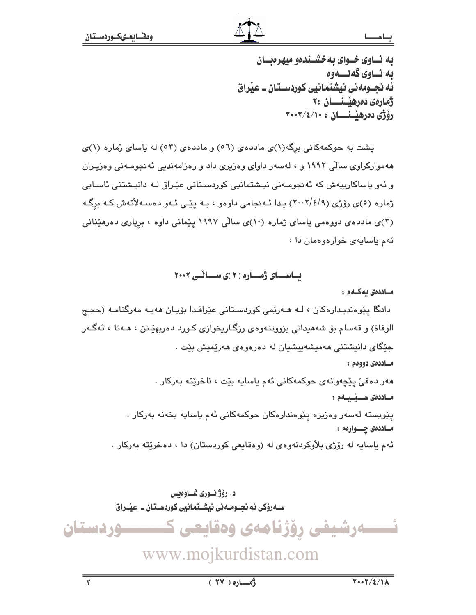## يئاسط

به نساوی خسوای به خشسندهو میهره سان ىه نــاوى گەنــــەوە ئه نجــومهني نيشتمانيي كوردســتان ــ عيّراق ژمارەي دەرھيىنىسان ۲۰ رۆژى دەرھنىنسسان : ٢٠٠٢/٤/١٠٠

پشت به حوکمهکانی برگه(۱)ی ماددهی (٥٦) و ماددهی (٥٣) له باسای ژماره (۱)ی ههموارکراوی سالّی ۱۹۹۲ و ، لهسهر داوای وهزیری داد و رهزامهندیی ئهنجومـهنی وهزیـران و ئەو ياساكارىيەش كە ئەنجومـەنى نيـشتمانيى كوردسـتانى عێـراق لـە دانيـشتنى ئاسـايى ژماره (٥)ي رۆژي (٢٠٠٢/٤/٩) يدا ئـهنجامي داوهو ، بـه يێـي ئـهو دهسـهلأتهش كـه برگـه (۳)ی ماددهی دووهمی باسای ژماره (۱۰)ی سالّی ۱۹۹۷ بیّمانی داوه ، بریاری ده رهندانی ئهم باسابهى خواردودمان دا:

### ىساسىساى ژەسسارە ( ٢ )ى سىساڭىي ٢٠٠٢

مـاددەى بەكـەم:

دادگا پێوەندیدارەکان ، لـه ھـەرێمى کوردسـتانى عێراقـدا بۆیـان ھەیـه مەرگنامـه (حجـج الوفاة) و قەسام بۆ شەھىدانى بزووتنەوەي رزگـاريخوازى كـورد دەربھێـنن ، ھـەتا ، ئەگـەر جێگای دانیشتنی ههمیشهبیشیان له دهرهوهی ههریمیش بیّت . مساددەي دووەم :

> هەر دەقى يێچەوانەي حوكمەكانى ئەم ياسايە بێت ، ناخرێتە بەركار . مساددەى سىسپىسلەم :

يێويسته لەسەر وەزيرە يێوەندارەكان حوكمەكانى ئەم ياسايە بخەنە بەركار . مـاددەى چــوارەم : ئهم ياسايه له رۆژى بلاوكردنهوەي له (وەقايعى كوردستان) دا ، دەخريته بەركار .

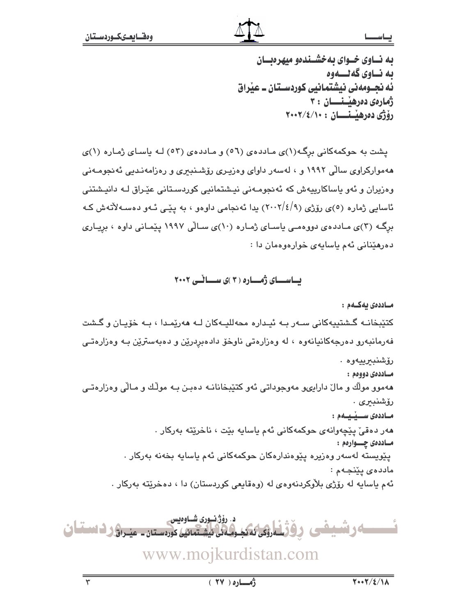#### يحاسط

به نساوی خسوای به خشسندهو میهرهنسان ىه نــاوى گەنــــەوە ئه نجــومهني نيشتمانيي كوردســتان ــ عيّراق ژمارەى دەرھىسىنسان : ٣ رۆژى دەرھىسىسان : ٢٠٠٢/٤/١٠٠

یشت به حوکمهکانی برگه(۱)ی ماددهی (٥٦) و ماددهی (٥٣) لـه یاسای ژماره (۱)ی ههموارکراوی سالّی ۱۹۹۲ و ، لهسهر داوای وهزیـری رۆشـنبـری و رهزامهنـدیی ئهنجومـهنی وەزیران و ئەو ياساكارىيەش كە ئەنجومەنى نيشتمانيى كوردسىتانى عێراق لـە دانيشتنى ئاسایی ژماره (٥)ی رۆژی (٩/٤/٩-٢٠٠) یدا ئەنجامی داوەو ، بە پێـی ئـەو دەسـەلأتەش کـە برگ) (۳)ی مـاددهی دووهمـی باسـای ژمـاره (۱۰)ی سـالّی ۱۹۹۷ پیّمـانی داوه ، بریـاری دهرهيٌناني ئهم ياسايهي خوارهوهمان دا :

بساسسسای ژمساره ( ۳ )ی سسساٹسی ۲۰۰۲

مـاددەى ئەكــەم : کتٽيخانـه گـشتيپهکاني سـهر بـه ئيـداره محهلليـهکان لـه ههرێمـدا ، بـه خۆپـان و گـشت فهرمانبهرو دهرجهکانیانهوه ، له وهزارهتی ناوخو دادهبردرین و دهبهسترین بـه وهزارهتـی رۆشنبىرىيەوە . مساددەي دووەم : ههموو مولّك و مالٌ دارایىو مەوجوداتى ئەو كتێبخانانـه دەبـن بـه مولّـك و مـالّى وەزارەتـى رۆشنبىرى . مـاددەى ســيْـيــەم : هەر دەقى ييچەوانەي حوكمەكانى ئەم ياسايە بيّت ، ناخريّتە بەركار . مـاددەى چـــوارەم : پێویسته لهسهر وهزیره پێوهندارهکان حوکمهکانی ئهم یاسایه بخهنه بهرکار . ماددەي يێنجەم : ئهم ياسايه له رۆژى بلاّوكردنهوهى له (وهقايعى كوردستان) دا ، دهخريته بهركار .

د. رۆژنسورى شــاوەيس ئىسسەرشىفى رۆژنلەرنى ئىكبولەن لىشتىن كورەستان - منىراۋر دىسقان www.mojkurdistan.com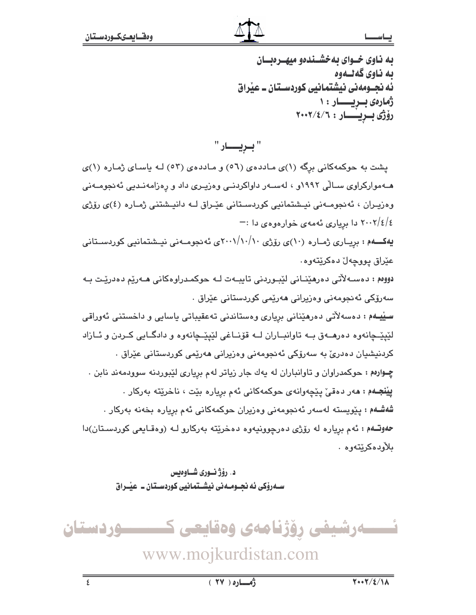#### يحاســــا

به ناوی خـوای بهخشـندهو میهـرهبـان ىە ناوي گەنىەوە ئه نجــومهني نيشتمانيي كوردســتان ــ عيّراق ژمارەى بىريسىــار : ١ رۆژى بىريسسار: ٢٠٠٢/٤/٦

" بـريــــار "

یشت به حوکمهکانی برگه (۱)ی ماددهی (٥٦) و ماددهی (٥٣) لـه یاسای ژماره (۱)ی هـهموارکراوی سـالّی ۱۹۹۲و ، لهسـهر داواکردنـی وهزیـری داد و رهزامهنـدیی نّهنجومـهنی وهزيـران ، ئەنجومــەنى نيـشتمانيى كوردسـتانى عيّـراق لــه دانيـشتنى ژمـاره (٤)ى رۆژى ٤/٤/٢٠٠٢ دا برياري ئهمهي خوارهوهي دا :-

یهکـــهم : بریــاری ژمـاره (۱۰)ی رۆژی ۲۰۰۱/۱۰/۱۰کی ئه نجومــهنی نیــشتمانیے، کوردســتانی، عێراق پووچەلٚ دەكرێتەوە.

دووم : دەسـﻪلأتى دەرھێنـﺎنى لێبـﻮردنى تايبـﻪت ﻟـﻪ ﺣﻮﻛﻤـﺪراﻭﻩﻛﺎنى ﻫـﻪرێم ﺩﻩﺩﺭێـﺖ ﺑـﻪ سەرۆكى ئەنجومەنى وەزيرانى ھەرپمى كوردستانى عێراق ٠

سییمه : دهسهلاتی دهرهیدانی بریاری وهستاندنی تهعقیباتی یاسایی و داخستنی ئهوراقی لێپێ؎ۣانهوه دهرهــهق بــه تاوانبــاران لــه قۆنــاغى لێپێــڃانهوه و دادگــايى كــردن و ئــازاد کردنیشیان دەدریؒ بە سەرۆکی ئەنجومەنی وەزیرانی ھەرێمی کوردستانی عێراق ٠ چوارهم : حوکمدراوان و تاوانباران له يهك جار زياتر لهم بريارى لێبوردنه سوودمهند نابن . **پيّنجـهم : م**هر دهقيّ پێچهوانهي حوکمهکاني ئهم برِياره بێت ، ناخرێِته بهرکار . .<br>**شەشـەم :** يـێويستە لەسەر ئەنجومەنى وەزيران حوكمەكانى ئەم بريارە بخەنە بەركار . حهوتهم: ئهم برياره له رۆژى دەرچوونيەوە دەخريته بەركارو لـه (وەقايعى كوردستان)دا ىلأودەكرێتەوە .

> د. رۆژنـورى شـاوەبس ســهروٰکي ئه نجــومــه ني نيشــتمـانيي کوردســتان ــ عيـّــراق

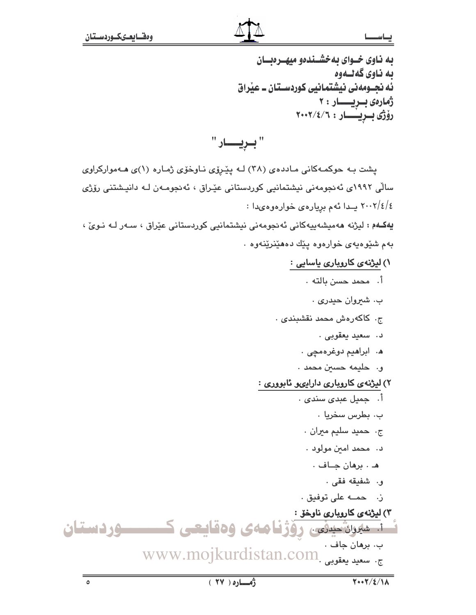$\circ$ 

## يحاسط

به ناوی خـوای بهخشـندهو میهـرهبــان ىە ناوي گەنــەوە ئه نجــومه ني نيشتمـانيي كوردســتـان ــ عيراق ژمارەى بىريسسار: ٢ رۆژى بىريسىار: ٢٠٠٢/٤/٦

" بريـــار "

پشت به حوکمهکانی ماددهی (۳۸) لـه پیّریوی نـاوخوّی ژمـاره (۱)ی هـهموارکراوی سالی ۱۹۹۲ی ئەنجومەنی نیشتمانیی کوردستانی عیّراق ، ئەنجومـەن لـه دانیـشتنی رۆژی ٤/١٠٠٢ يـدا ئهم بږيارهى خوارهوهىدا :

يەكــهم : ليژنه مەميشەييەكانى ئەنجومەنى نيشتمانيى كوردستانى عێراق ، سـەر لــه نـوىّ ، بهم شێوهیهی خوارهوه یێك دههێنرێنهوه ٠

- ۱) <mark>لیژنهی کاروباری یاسایی</mark> :
	- أ. محمد حسن بالته .
	- ب. شيروان حيدري .
- ج. كاكەرەش محمد نقشىبندى .
	- د. سعيد يعقوبي .
	- ه. ابراهيم دوغرهمچي .
	- و. حليمه حسين محمد .

# ۲) لیژنهی کاروباری دارایهو ئابووری :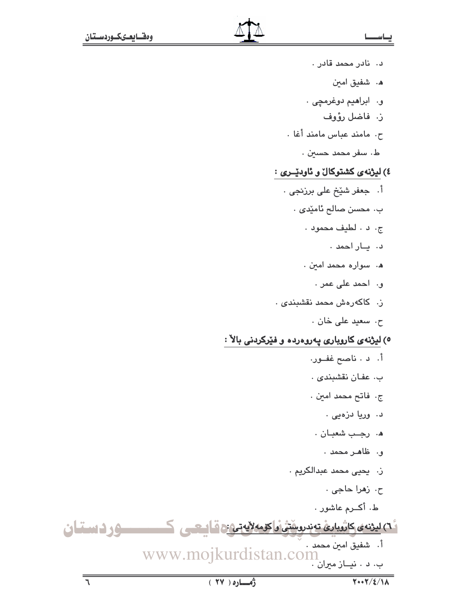- د. نادر محمد قادر . ه. شفيق امىن و. ابراهيم دوغرمچى . ز. فاضل رؤوف ح. مامند عباس مامند أغا . ط، سفر محمد حسين . ٤) ليژنهي كشتوكال و ئاوديري : اً. جعفر شێخ علی برزنجی ٠ ب. محسن صالح ئامێدى . ج. د . لطيف محمود . د. ياراحمد . ه. سواره محمد امين . ق، الحمد عل*ي* عمر . ز. كاكەرەش محمد نقشىبن*دى* . ح. سعيد على خان . ٥) ليژنهى كاروبارى پەروەردە و فێركردنى بالآ : أ. د . ناصح غفــور. ب. عفان نقشبندی . ج. فاتح محمد امين .
	- د. وريا دزەيى .
	- ه. رجب شعبان .
		- و. ظاهر محمد .
	- ز. يحيى محمد عبدالكريم .
		- ح. زهرا حاجي .
		- ط. أكــرم عاشور .

أ٦) لي نه ي كاثرياري تهدرو منش و كرمه لايه تي: قاليحي كمستسبق و في السنسان اً. شفيق امين محمد . www.mojkurdistan.com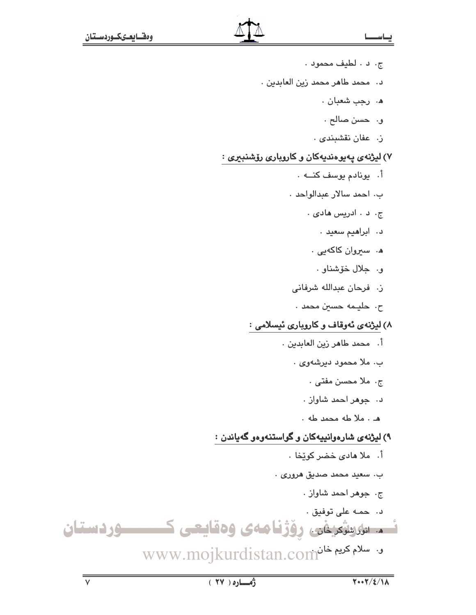- ج. د . لطيف محمود .
- د. محمد طاهر محمد زين العابدين .
	- ه. رجب شعبان .
	- و. حسن صالح .
	- ز. عفان نقشبندی .

# ۷) لیژنهی پهیوهندیهکان و کاروباری رۆشنبیری :

- أ. يونادم يوسف كنــه . ب. احمد سالار عبدالواحد . ج. د . ادريس هادی . د. ابراهيم سعيد . ه. سیروان کاکهیی . و. جلال خۆشناو . ز. فرحان عبدالله شرفانى ح. حليـمه حسين محمد . ۸) لیژنهی ئهوقاف و کاروباری ئیسلامی : أ. محمد طاهر زين العابدين . ب. ملا محمود دیرشهوی . ج. ملا محسن مفتى . د. جوهر احمد شاواز . م . ملا طه محمد طه . ۹) لیژنهی شارهوانیپهکان و گواستنهوهو گهیاندن :
- أ. ملا مادى خضر كويخا . ب. سعيد محمد صديق هروری . ج. جوهر احمد شاواز . د. حمه على توفيق . نسم سرسترین روزنامهی وهقایعی کسسوردستان ى. سلام كريم خانWWw.mojkurdistan.com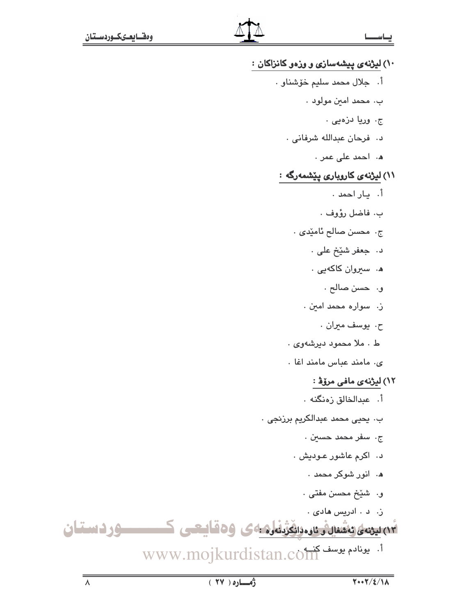# ۱۰) لیژنهی پیشهسازی و وزهو کانزاکان : أ. جلال محمد سليم خوشناو . ب. محمد امين مولود . ج. وريا دزەيى . د. فرحان عبدالله شرفانی . م، الحمد على عمر ، ٬۱۱ لیژنهی کاروباری پیشمهرگه : أ. باراحمد . ب. فاضل رؤوف . ج. محسن صالح ئامێدى . د. جعفر شێخ علي . ه. سیروان کاکهیی . و. حسن صالح . ز. سواره محمد امین . ح. يوسف ميران . ط . ملا محمود ديرشهوي . ى. مامند عباس مامند اغا . ۱۲) لیژنهی مافی مر<mark>ز</mark>هٔ : أ. عبدالخالق زەنگنە . بِ. يحيى محمد عبدالكريم برزنجي . ج، اسفر محمد حسي*ن* . د. اکرم عاشور عـوديش . ه. انور شوکر محمد . و. شَيْخْ مَحْسْنْ مَفْتَى . ز. د . ادريس هادی . ٧٣ يىنە، ئاشنالەرئارە دانگۇنلەردى 69قايىغى كىسىستىلىن 1. يونادم يوسف كذبه.www.mojkurdistan.com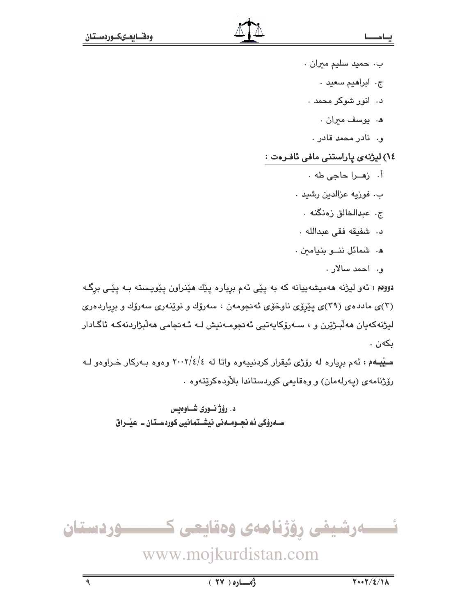- ب. حميد سليم ميران .
	- ج. ابراهيم سعيد .
	- د. انور شوکر محمد .
		- ه، پوسف میران .
	- و. نادر محمد قادر .

# ۱٤) لیژنهی پاراستنی مافی <mark>ئاف</mark>رهت :

- أ. زهـرا حاجي طه .
- ب. فوزيه عزالدين رشيد .
	- ج. عبدالخالق زەنگنە .
- د. شفيقه فقى عبدالله .
- ه. شمائل ننو بنيامين.
	- ق. الحمد سالان .

دوومم : ئەو لیژنه مەمیشەییانە کە بە پێی ئەم برِیارە پێك مێنراون پێویستە بـە پێی برِگـه (۳)ی ماددهی (۳۹)ی پێږێی ناوخۆی ئەنجومەن ، سەرۆك و نوێنەری سەرۆك و برياردەری ليژنەكەيان ھەلىرژيرن و ، سـەرۆكايەتيى ئەنجومـەنيش لـە ئـەنجامى ھەلىزاردنەكـە ئاگـادار ىكەن .

سیّیمهم : ئهم برِیاره له رۆژی ئیقرار کردنییهوه واتا له ٤/٤/٢٠٠٢ وهوه بـهرکار خـراوهو لـه رۆژنامەي (پەرلەمان) و وەقايعى كوردستاندا بلاودەكريتەوە .

> د. رۆژنـورى شـاوەبس ســهروْکی ئه نجــومــه نی نیشــتمـانیی کوردســتـان ــ عیّــراق

ئــــــەرشيفى رۆژنامەى وەقايعى كـــــــــوردستان

www.mojkurdistan.com

 $\overline{\mathsf{S}}$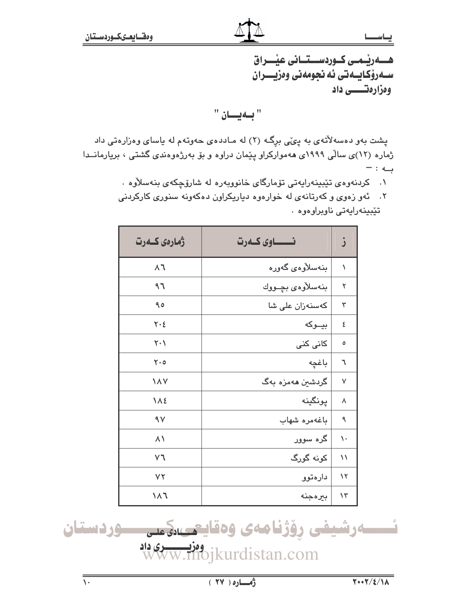سـهرۆكـايــهتى ئه نجومەنى وەزيـــران ومزارهتــــــــــ داد

"بهيان "

پشت بهو دهسهلاتهی به پئی برِگ (۲) له مـاددهی حهوتهم له یاسای وهزارهتی داد ژماره (۱۲)ی سالّی ۱۹۹۹ی ههموارکراو پیّمان دراوه و بوّ بهرژهوهندی گشتی ، بریارمانــدا به : -

۰۱ كردنهوهى تيبينهرايهتى تۆمارگاى خانووبهره له شارۆچكەى بنەسلاوه

| ۲.    نهو زهوی و کهرتانهی له خوارهوه دیاریکراون دهکهونه سنوری کارکردنی |  |                           |  |
|------------------------------------------------------------------------|--|---------------------------|--|
|                                                                        |  | تێبینەراپەتى ناوبراوەوە ٠ |  |

| ژمارەي كــەرت               | نــــــــــاوى كـــهرت | ز            |
|-----------------------------|------------------------|--------------|
| $\zeta$                     | بنەسلارەي گەورە        | ١            |
| ۹٦                          | بنەسلارەي بچىووك       | ٢            |
| 90                          | كەسنەزان على شا        | ٣            |
| $\mathsf{Y}\cdot\mathsf{E}$ | بيـوكه                 | ٤            |
| $\mathsf{Y}\cdot\mathsf{V}$ | کانی کنی               | ٥            |
| $\mathsf{Y}\cdot\mathsf{o}$ | باغچه                  | ٦            |
| <b>171</b>                  | گردشین مەمزە بەگ       | $\checkmark$ |
| <b>112</b>                  | پونگينه                | ٨            |
| $\gamma$                    | باغەمرە شهاب           | ٩            |
| $\lambda \setminus$         | گره سوور               | ١.           |
| V٦                          | کونه گورگ              | $\setminus$  |
| ٧٢                          | دارەتوو                | $\lambda$    |
| ۱۸٦                         | بيرەجنە                | $\lambda$    |

ئىسسەرشيفى رۆژنامەى وەقايىمىدةمىسى موردستان ووز<u>د دري داد</u><br>WWW.Mojkurdistan.com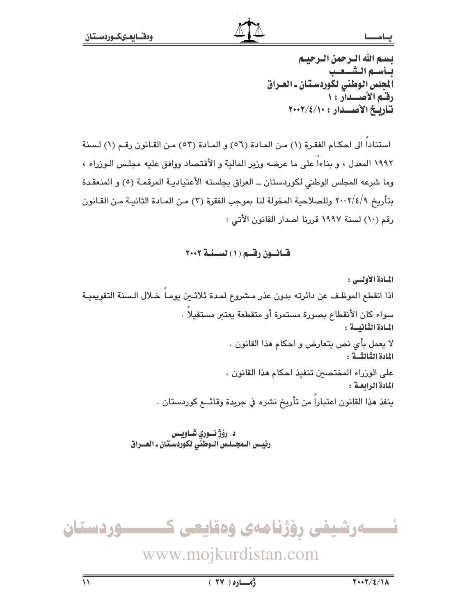يسم الله الترجمن الترجيبم بسأسبم الشسعيب المجلس الوطني لكوردستان ـ العـراق رقم الأصلدار: ١ تأريخ الأصلدار: ٢٠٠٢/٤/١٠٠

استناداً إلى احكـام الفقـرة (١) مـن المـادة (٥٦) و المـادة (٥٣) مـن القـانون رقـم (١) لـسنة ١٩٩٢ المعدل ، و بناءاً على ما عرضه وزير المالية و الأقتصاد ووافق عليه مجلس الـوزراء ، وما شرعه المجلس الوطني لكوردستان ــ العراق بجلسته الأعتياديـة المرقمـة (٥) و المنعقـدة بتأريخ ٢٠٠٢/٤/٩ وللصلاحية المخولة لنا بموجب الفقرة (٣) من المـادة الثانيـة مـن القـانون رقم (١٠) لسنة ١٩٩٧ قررنا اصدار القانون الأتي :

قيانسون رقسم (١) لسينية ٢٠٠٢

المبادة الأولي : اذا انقطع الموظف عن دائرته بدون عذر مشروع لمدة ثلاثـين يومـاً خـلال الـسنة التقويميـة سواء كان الأنقطاع بصورة مستمرة أو متقطعة يعتبر مستقيلا . المسادة الثنانيسة : لا يعمل بأي نص يتعارض و احكام هذا القانون . المادة الثِّبالثُّسة : على الوزراء المختصين تنفيذ احكام هذا القانون . المادة الرابعة : ينفذ هذا القانون اعتبارا من تأريخ نشره في جريدة وقائــع كوردستان .

> د. رؤژ نوري شـاويـس رئيس الـمجــلـس الـوطنّى لكوّردسـتـان ـ العــراق

ئـــــەرشيفى رۆژنامەى وەقايعى كـــــــــوردستان

www.mojkurdistan.com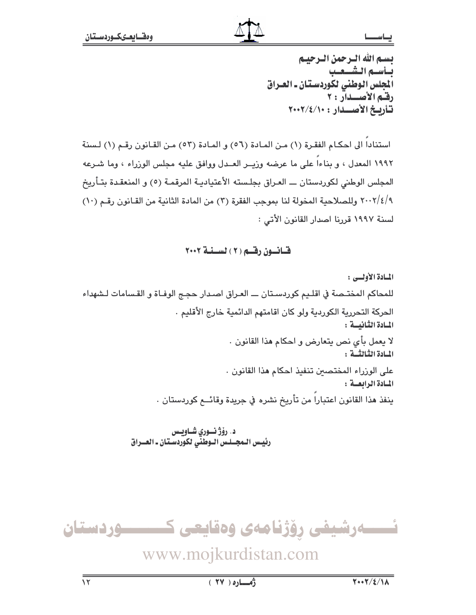يسم الله الترجمن الترجيبم يسأسبم الشعب المجلس الوطني لكوردستان ـ العـراق رقم الأصلدار: ٢ تأريخ الأصلدار : ١٠٠٢/٤/١٠٠٢

استناداً إلى احكـام الفقـرة (١) مـن المـادة (٥٦) و المـادة (٥٣) مـن القـانون رقـم (١) لـسنة ١٩٩٢ المعدل ، و بناءاً على ما عرضه وزيــر العــدل ووافق عليه مجلس الوزراء ، وما شـرعه المجلس الوطني لكوردستان ـــ العـراق بجلـسته الأعتياديـة المرقمـة (٥) و المنعقـدة بتـأريخ ٢٠٠٢/٤/٩ وللصلاحية المخولة لنا بموجب الفقرة (٢) من المادة الثانية من القـانون رقـم (١٠) لسنة ١٩٩٧ قررنا اصدار القانون الأتي :

### قسانسون رقسم (٢) لسسنسة ٢٠٠٢

المسادة الأولسي : للمحاكم المختـصة في اقلـيم كوردسـتان ـــ العـراق اصـدار حجـج الوفـاة و القـسامات لـشهداء الحركة التحررية الكوردية ولو كان اقامتهم الدائمية خارج الأقليم . المسادة الثنانيسة : لا يعمل بأي نص يتعارض و احكام هذا القانون . المبادة الثيالثيية : على الوزراء المختصين تنفيذ احكام هذا القانون . المبادة الرابعية: ينفذ هذا القانون اعتبارا من تأريخ نشره في جريدة وقائــع كوردستان .

د. رۆژ نــوري شــاويــس<br>رئيــس الــمجـــلـس الــوطني لكوردســتـان ــ الـعـــراق

ئـــــەرشيفى رۆژنامەى وەقايعى كـــــــــوردستان

www.mojkurdistan.com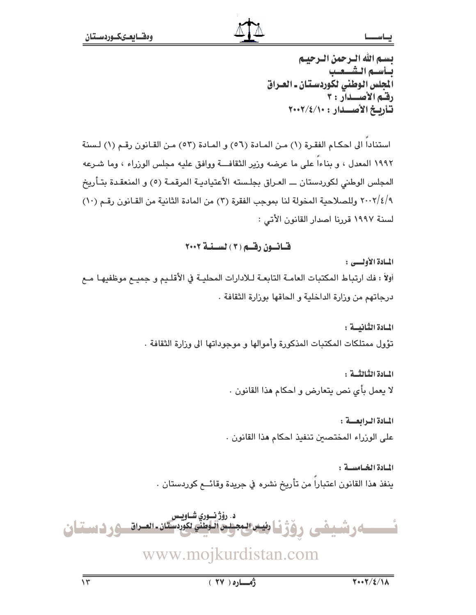يسم الله الترجمن الترجيبم يسأسبم الشعب المجلس الوطني لكوردستان ـ العـراق رقم الأصلدار: ٢ تأريخ الأصلدار: ٢٠٠٢/٤/١٠٠

استناداً إلى احكـام الفقـرة (١) مـن المـادة (٥٦) و المـادة (٥٣) مـن القـانون رقـم (١) لـسنة ١٩٩٢ المعدل ، و بناءاً على ما عرضه وزير الثقافـــة ووافق عليه مجلس الوزراء ، وما شـرعه المجلس الوطني لكوردستان ـــ العـراق بجلـسته الأعتياديـة المرقمـة (٥) و المنعقـدة بتـأريخ ٢٠٠٢/٤/٩ وللصلاحية المخولة لنا بموجب الفقرة (٢) من المادة الثانية من القـانون رقـم (١٠) لسنة ١٩٩٧ قررنا اصدار القانون الأتي :

## قسانسون رقسم (٣) لسسنسة ٢٠٠٢

المبادة الأوليس :

أولاً : فك ارتباط المكتبات العامـة التابعـة لـلادارات المحليـة في الأقلـيم و جميـم موظفيهـا مـم درجاتهم من وزارة الداخلية و الحاقها بوزارة الثقافة .

> المسادة الثنانيسة : تؤول ممتلكات المكتبات المذكورة وأموالها و موجوداتها الى وزارة الثقافة .

> > المادة الثَّالثُّــة : لا يعمل بأى نص يتعارض و احكام هذا القانون .

المبادة البرابعة : على الوزراء المختصين تنفيذ احكام هذا القانون .

المادة الخيامسية: ينفذ هذا القانون اعتبارا من تأريخ نشره في جريدة وقائـــع كوردستان .

د. رۆژنسوري شــاويس <u>ئىسسەرشىفى رۆژناشەسىجىرەتلىق يورستىن سىرە موردىستان</u>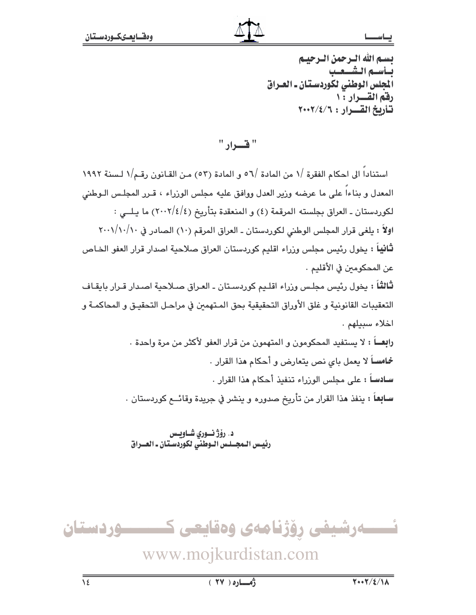تستم الله الترجمن الترجيبم يسأسبم الشهيب المجلس الوطني لكوردستان ـ العـراق رقم القسرار : ١ تأريخ القسرار : ٢٠٠٢/٤/٦٠٠٠

" فسيراد "

استناداً الى احكام الفقرة /١ من المادة /٥٦ و المادة (٥٣) من القـانون رقـم/١ لـسنة ١٩٩٢ المعدل و بناءا على ما عرضه وزير العدل ووافق عليه مجلس الوزراء ، قـرر المجلـس الـوطنى لكوردستان ـ العراق بجلسته المرقمة (٤) و المنعقدة بتأريخ (٤/٤/٢٠٠٢) ما يـلــي : اولاً : يلغي قرار المجلس الوطني لكوردستان ـ العراق المرقم (١٠) الصادر في ٢٠٠١/١٠/١٠ **ثانياً :** يخول رئيس مجلس وزراء اقليم كوردستان العراق صلاحية اصدار قرار العفو الخـاص عن المحكومين في الأقليم . **ثالثاً** : يخول رئيس مجلس وزراء اقلـيم كوردسـتان ـ العـراق صـلاحية اصـدار قـرار بايقـاف التعقيبات القانونية و غلق الأوراق التحقيقية بحق المـتهمعن في مراحـل التحقيـق و المحاكمـة و اخلاء سبيلهم. رابعـــاً : لا يستفيد المحكومون و المتهمون من قرار العفو لأكثر من مرة واحدة . **خماساً لا ي**عمل باى نص يتعارض و أحكام هذا القرار .

سـادسـاً : على مجلس الورراء تنفيذ أحكام هذا القرار . **سـابِعـاً : ينفذ مذ**ا القرار من تأريخ صدوره و ينشر في جريدة وقائـــع كوردستان .

د. رؤژ نوری شاویس رئيس الـمجــلـس الـوطني لكوردسـتان ـ العــراق

ــــوردستان ئـــــەرشیفی رۆژنامەی وەقايعی ك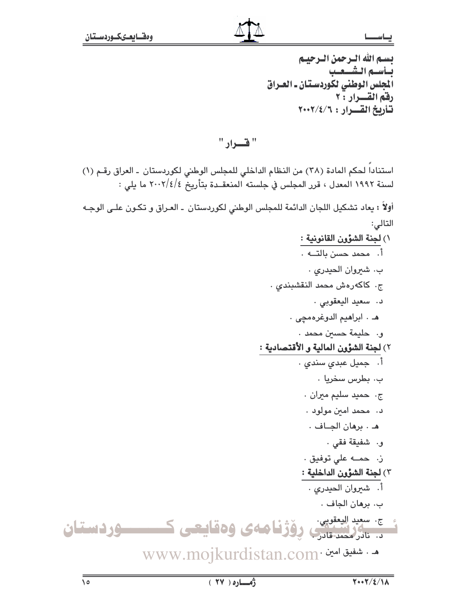# بسم الله الترجمن الترجينم بساسه الشنعب الجلس الوطني لكوردستان ـ العـراق رفق القسرار : ٢ تأريخ القسرار: ٢٠٠٢/٤/٦

" قسواد "

استنادا لحكم المادة (٣٨) من النظام الداخلي للمجلس الوطني لكوردستان ـ العراق رقم (١) لسنة ١٩٩٢ المعدل ، قرر المجلس في جلسته المنعقــدة بتأريخ ٢٠٠٢/٤/٤ ما يلي :

أولاً : يعاد تشكيل اللجان الدائمة للمجلس الوطني لكوردستان ـ العـراق و تكـون علـى الوجـه التالي:

- ١) لجنة الشؤون القانونية : أ. محمد حسن بالتــه . ب. شيروان الحيدري . ج. كاكەرەش محمد النقشبندي . د. سعيد اليعقوبي . هـ. ابراهيم الدوغرهمچى . و. حليمة حسين محمد . ٢) لجنة الشؤون المالية و الأقتصادية : .<br>أ. جميل عبدي سندي . ب. بطرس سخريا . ج. حميد سليم ميران . د. محمد امین مولود . هـ . برهان الجــاف . و. شفيقة فقي . ز. حمـــه على توفيق . ٣) لجنة الشؤون الداخلية : أ. شيروان الحيدري . ب، برهان الجاف ، ج. سعيد اليعقوبي. . ستانگریستان روژنامهی وهقایعی کمسکوردستان
	- www.mojkurdistan.com· شفيق امين .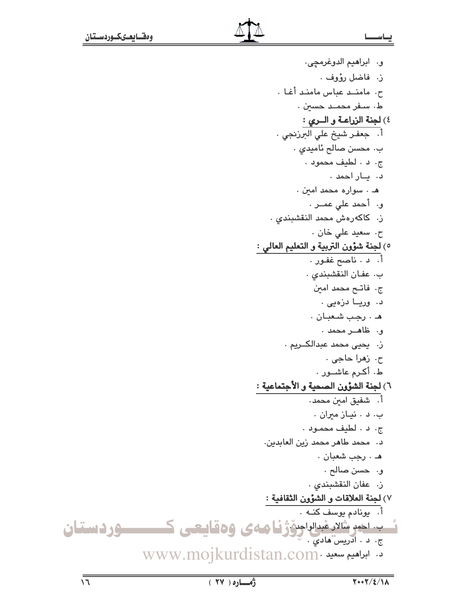و. ابراهيم الدوغرمجي. ز. فاضل رؤوف . ح. مامند عباس مامند أغا . ط، سفر محمـد حسين . ٤) لجنة الزراعـة و الــري : .<br>أ. جعفـر شيخ علي البرزنجي . ب. محسن صالح ئاميدى . ج. د . لطيف محمود . د. ياراحمد . هـ . سواره محمد امين . و. أحمد على عمـر. ز. كاكەرەش محمد النقشبندي . ح. سعيد على خان . ٥) لجنة شؤون التربية و التعليم العالي : .<br>أ. د . ناصح غفور . ب. عفان النقشبندى . ج. فاتــح محمد امين د. وريــا دزەيى . هـ . رجب شعبان . ق. ظاهـر محمد . ز. يحيى محمد عبدالكــريم . ح، ز**م**را حاجي . ط. أكرم عاشـور . ٦) لجنة الشؤون الصحية و الأجتماعية : ب. د . نيـاز ميران . ج. د . لطيف محمود . د. محمد طاهر محمد زين العابدين. هـ . رجب شعبان . و. حسن صالح . ز. عفان النقشبندى . ٧) <mark>لجنة العلاقات و الشَّوْون الثقافية :</mark><br>أ. يونادم يوسف كنـه . شب اخود مثلاد غبرالواجن ژفا ههى وهقايعى كــــــوردستان WWW.mojkurdistan.com.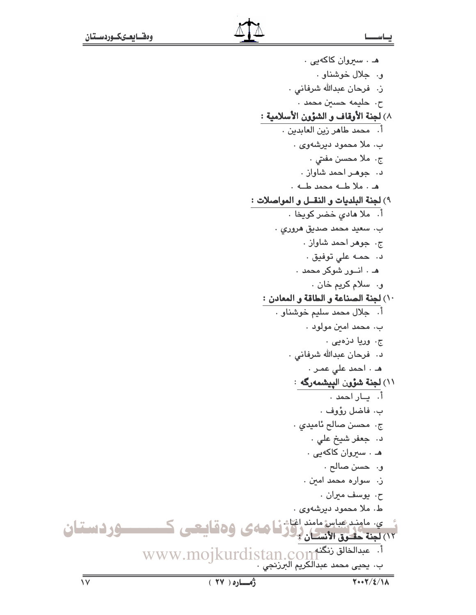هـ . سيروان كاكهيى . و. جلال خوشناو . ز. فرحان عبدالله شرفانی . ح. حليمه حسين محمد . ٨) لجنة الأوقاف و الشؤون الأسلامية : .<br>أ. محمد طاهر زين العابدين . ب. ملا محمود دیرشهوی . ج. ملا محسن مفتی . د. جوهر احمد شاواز . م . ملا طله محمد طله . ٩) لجنة البلديات و النقــل و المواصلات : أ. ملا مادى خضر كويخا . ب. سعيد محمد صديق هروری . ج. جوهر احمد شاواز . د. حمه على توفيق . هـ . انــور شوكر محمد . و. سلام كريم خان . ١٠) لجنة الصناعة و الطاقة و المعادن : .<br>أ. جلال محمد سليم خوشناو . ب. محمد امين مولود . ج. وريا دزەيى . د. فرحان عبدالله شرفانی . هـ ، احمد على عمـر ، ۱۱) <mark>لجنة شؤون الْپيشمەرگە</mark> :<br>أ. يــار احمد . ب. فاضل رؤوف . ج. محسن صالح ئاميدي . د. جعفر شيخ علي . هـ . سيروان كاكهيى . و. حسن صالح . ز. سواره محمد امين . ح. يوسف ميران . ط. ملا محمود دېرشهوي . و سی مامند عباس مامند اغاث <mark>نا</mark> دائمای و هقایی هم ک

.<br>أ. عبدالخالق زنگنه www.mojkurdistan.com<br>ب. يحيى محمد عبدالكريم البرزنجي .

ـــــوردستان